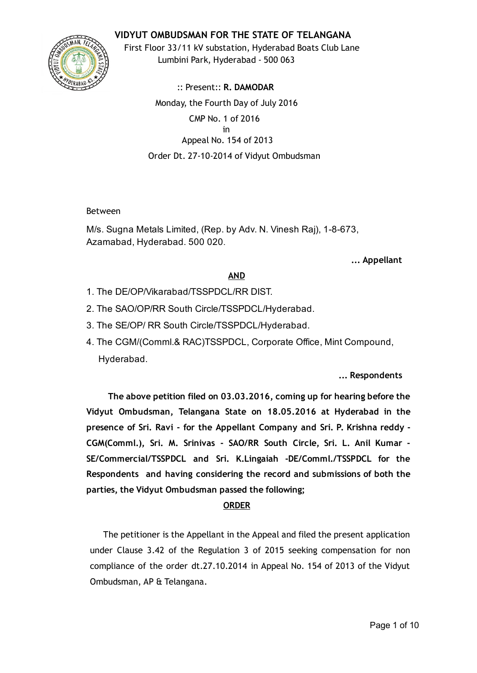## VIDYUT OMBUDSMAN FOR THE STATE OF TELANGANA



First Floor 33/11 kV substation, Hyderabad Boats Club Lane Lumbini Park, Hyderabad ‐ 500 063

:: Present:: R. DAMODAR Monday, the Fourth Day of July 2016 CMP No. 1 of 2016 in Appeal No. 154 of 2013 Order Dt. 27‐10‐2014 of Vidyut Ombudsman

#### Between

M/s. Sugna Metals Limited, (Rep. by Adv. N. Vinesh Raj), 1-8-673, Azamabad, Hyderabad. 500 020.

... Appellant

#### AND

- 1. The DE/OP/Vikarabad/TSSPDCL/RR DIST.
- 2. The SAO/OP/RR South Circle/TSSPDCL/Hyderabad.
- 3. The SE/OP/ RR South Circle/TSSPDCL/Hyderabad.
- 4. The CGM/(Comml.& RAC)TSSPDCL, Corporate Office, Mint Compound, Hyderabad.

#### ... Respondents

The above petition filed on 03.03.2016, coming up for hearing before the Vidyut Ombudsman, Telangana State on 18.05.2016 at Hyderabad in the presence of Sri. Ravi ‐ for the Appellant Company and Sri. P. Krishna reddy ‐ CGM(Comml.), Sri. M. Srinivas ‐ SAO/RR South Circle, Sri. L. Anil Kumar ‐ SE/Commercial/TSSPDCL and Sri. K.Lingaiah ‐DE/Comml./TSSPDCL for the Respondents and having considering the record and submissions of both the parties, the Vidyut Ombudsman passed the following;

#### ORDER

The petitioner is the Appellant in the Appeal and filed the present application under Clause 3.42 of the Regulation 3 of 2015 seeking compensation for non compliance of the order dt.27.10.2014 in Appeal No. 154 of 2013 of the Vidyut Ombudsman, AP & Telangana.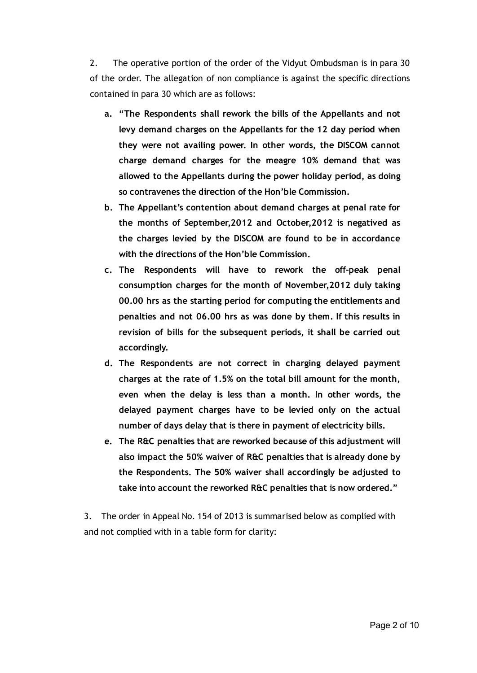2. The operative portion of the order of the Vidyut Ombudsman is in para 30 of the order. The allegation of non compliance is against the specific directions contained in para 30 which are as follows:

- a. "The Respondents shall rework the bills of the Appellants and not levy demand charges on the Appellants for the 12 day period when they were not availing power. In other words, the DISCOM cannot charge demand charges for the meagre 10% demand that was allowed to the Appellants during the power holiday period, as doing so contravenes the direction of the Hon'ble Commission.
- b. The Appellant's contention about demand charges at penal rate for the months of September,2012 and October,2012 is negatived as the charges levied by the DISCOM are found to be in accordance with the directions of the Hon'ble Commission.
- c. The Respondents will have to rework the off‐peak penal consumption charges for the month of November,2012 duly taking 00.00 hrs as the starting period for computing the entitlements and penalties and not 06.00 hrs as was done by them. If this results in revision of bills for the subsequent periods, it shall be carried out accordingly.
- d. The Respondents are not correct in charging delayed payment charges at the rate of 1.5% on the total bill amount for the month, even when the delay is less than a month. In other words, the delayed payment charges have to be levied only on the actual number of days delay that is there in payment of electricity bills.
- e. The R&C penalties that are reworked because of this adjustment will also impact the 50% waiver of R&C penalties that is already done by the Respondents. The 50% waiver shall accordingly be adjusted to take into account the reworked R&C penalties that is now ordered."

3. The order in Appeal No. 154 of 2013 is summarised below as complied with and not complied with in a table form for clarity: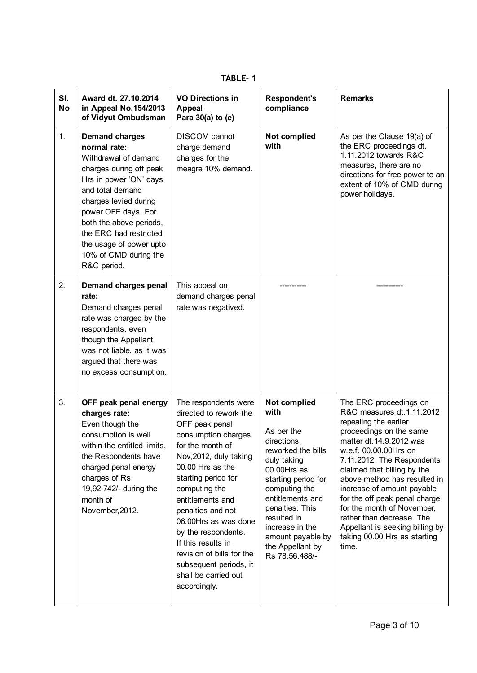| SI.<br><b>No</b> | Award dt. 27.10.2014<br>in Appeal No.154/2013<br>of Vidyut Ombudsman                                                                                                                                                                                                                                           | <b>VO Directions in</b><br><b>Appeal</b><br>Para 30(a) to (e)                                                                                                                                                                                                                                                                                                                                                  | <b>Respondent's</b><br>compliance                                                                                                                                                                                                                                                 | <b>Remarks</b>                                                                                                                                                                                                                                                                                                                                                                                                                                                 |
|------------------|----------------------------------------------------------------------------------------------------------------------------------------------------------------------------------------------------------------------------------------------------------------------------------------------------------------|----------------------------------------------------------------------------------------------------------------------------------------------------------------------------------------------------------------------------------------------------------------------------------------------------------------------------------------------------------------------------------------------------------------|-----------------------------------------------------------------------------------------------------------------------------------------------------------------------------------------------------------------------------------------------------------------------------------|----------------------------------------------------------------------------------------------------------------------------------------------------------------------------------------------------------------------------------------------------------------------------------------------------------------------------------------------------------------------------------------------------------------------------------------------------------------|
| 1.               | <b>Demand charges</b><br>normal rate:<br>Withdrawal of demand<br>charges during off peak<br>Hrs in power 'ON' days<br>and total demand<br>charges levied during<br>power OFF days. For<br>both the above periods,<br>the ERC had restricted<br>the usage of power upto<br>10% of CMD during the<br>R&C period. | <b>DISCOM</b> cannot<br>charge demand<br>charges for the<br>meagre 10% demand.                                                                                                                                                                                                                                                                                                                                 | Not complied<br>with                                                                                                                                                                                                                                                              | As per the Clause 19(a) of<br>the ERC proceedings dt.<br>1.11.2012 towards R&C<br>measures, there are no<br>directions for free power to an<br>extent of 10% of CMD during<br>power holidays.                                                                                                                                                                                                                                                                  |
| 2.               | Demand charges penal<br>rate:<br>Demand charges penal<br>rate was charged by the<br>respondents, even<br>though the Appellant<br>was not liable, as it was<br>argued that there was<br>no excess consumption.                                                                                                  | This appeal on<br>demand charges penal<br>rate was negatived.                                                                                                                                                                                                                                                                                                                                                  |                                                                                                                                                                                                                                                                                   |                                                                                                                                                                                                                                                                                                                                                                                                                                                                |
| 3.               | OFF peak penal energy<br>charges rate:<br>Even though the<br>consumption is well<br>within the entitled limits,<br>the Respondents have<br>charged penal energy<br>charges of Rs<br>19,92,742/- during the<br>month of<br>November, 2012.                                                                      | The respondents were<br>directed to rework the<br>OFF peak penal<br>consumption charges<br>for the month of<br>Nov, 2012, duly taking<br>00.00 Hrs as the<br>starting period for<br>computing the<br>entitlements and<br>penalties and not<br>06.00Hrs as was done<br>by the respondents.<br>If this results in<br>revision of bills for the<br>subsequent periods, it<br>shall be carried out<br>accordingly. | Not complied<br>with<br>As per the<br>directions,<br>reworked the bills<br>duly taking<br>00.00Hrs as<br>starting period for<br>computing the<br>entitlements and<br>penalties. This<br>resulted in<br>increase in the<br>amount payable by<br>the Appellant by<br>Rs 78,56,488/- | The ERC proceedings on<br>R&C measures dt.1.11.2012<br>repealing the earlier<br>proceedings on the same<br>matter dt.14.9.2012 was<br>w.e.f. 00.00.00Hrs on<br>7.11.2012. The Respondents<br>claimed that billing by the<br>above method has resulted in<br>increase of amount payable<br>for the off peak penal charge<br>for the month of November,<br>rather than decrease. The<br>Appellant is seeking billing by<br>taking 00.00 Hrs as starting<br>time. |

TABLE‐ 1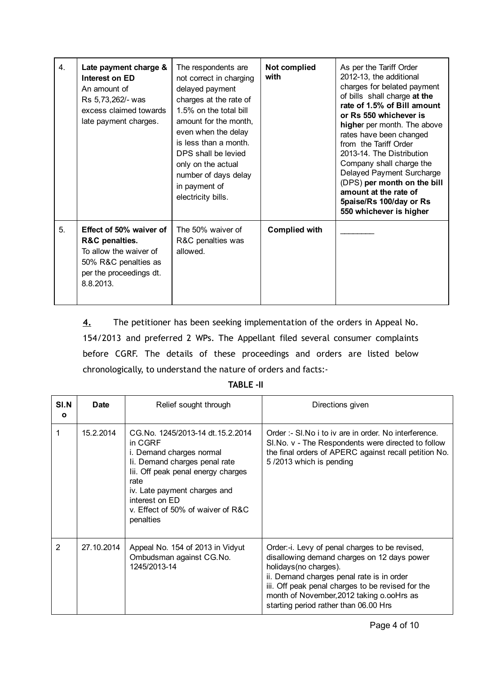| 4. | Late payment charge &<br>Interest on ED<br>An amount of<br>Rs 5,73,262/- was<br>excess claimed towards<br>late payment charges.     | The respondents are<br>not correct in charging<br>delayed payment<br>charges at the rate of<br>1.5% on the total bill<br>amount for the month,<br>even when the delay<br>is less than a month.<br>DPS shall be levied<br>only on the actual<br>number of days delay<br>in payment of<br>electricity bills. | Not complied<br>with | As per the Tariff Order<br>2012-13, the additional<br>charges for belated payment<br>of bills shall charge at the<br>rate of 1.5% of Bill amount<br>or Rs 550 whichever is<br>higher per month. The above<br>rates have been changed<br>from the Tariff Order<br>2013-14. The Distribution<br>Company shall charge the<br>Delayed Payment Surcharge<br>(DPS) per month on the bill<br>amount at the rate of<br>5paise/Rs 100/day or Rs<br>550 whichever is higher |
|----|-------------------------------------------------------------------------------------------------------------------------------------|------------------------------------------------------------------------------------------------------------------------------------------------------------------------------------------------------------------------------------------------------------------------------------------------------------|----------------------|-------------------------------------------------------------------------------------------------------------------------------------------------------------------------------------------------------------------------------------------------------------------------------------------------------------------------------------------------------------------------------------------------------------------------------------------------------------------|
| 5. | Effect of 50% waiver of<br>R&C penalties.<br>To allow the waiver of<br>50% R&C penalties as<br>per the proceedings dt.<br>8.8.2013. | The 50% waiver of<br>R&C penalties was<br>allowed.                                                                                                                                                                                                                                                         | <b>Complied with</b> |                                                                                                                                                                                                                                                                                                                                                                                                                                                                   |

4. The petitioner has been seeking implementation of the orders in Appeal No. 154/2013 and preferred 2 WPs. The Appellant filed several consumer complaints before CGRF. The details of these proceedings and orders are listed below chronologically, to understand the nature of orders and facts:‐

| SI.N<br>$\mathbf{o}$ | <b>Date</b> | Relief sought through                                                                                                                                                                                                                                      | Directions given                                                                                                                                                                                                                                                                                                |
|----------------------|-------------|------------------------------------------------------------------------------------------------------------------------------------------------------------------------------------------------------------------------------------------------------------|-----------------------------------------------------------------------------------------------------------------------------------------------------------------------------------------------------------------------------------------------------------------------------------------------------------------|
|                      | 15.2.2014   | CG.No. 1245/2013-14 dt.15.2.2014<br>in CGRF<br>i. Demand charges normal<br>Ii. Demand charges penal rate<br>lii. Off peak penal energy charges<br>rate<br>iv. Late payment charges and<br>interest on ED<br>v. Effect of 50% of waiver of R&C<br>penalties | Order :- SI. No i to iv are in order. No interference.<br>SI. No. v - The Respondents were directed to follow<br>the final orders of APERC against recall petition No.<br>5/2013 which is pending                                                                                                               |
| 2                    | 27.10.2014  | Appeal No. 154 of 2013 in Vidyut<br>Ombudsman against CG.No.<br>1245/2013-14                                                                                                                                                                               | Order:-i. Levy of penal charges to be revised,<br>disallowing demand charges on 12 days power<br>holidays (no charges).<br>ii. Demand charges penal rate is in order<br>iii. Off peak penal charges to be revised for the<br>month of November, 2012 taking o.ooHrs as<br>starting period rather than 06.00 Hrs |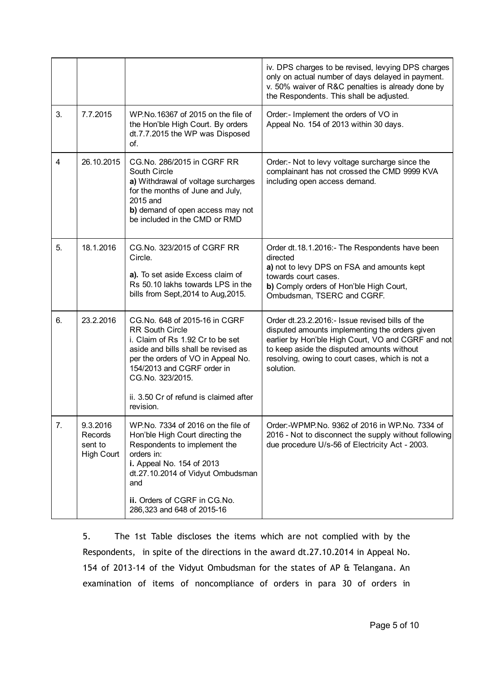|    |                                                     |                                                                                                                                                                                                                                                                                   | iv. DPS charges to be revised, levying DPS charges<br>only on actual number of days delayed in payment.<br>v. 50% waiver of R&C penalties is already done by<br>the Respondents. This shall be adjusted.                                                              |
|----|-----------------------------------------------------|-----------------------------------------------------------------------------------------------------------------------------------------------------------------------------------------------------------------------------------------------------------------------------------|-----------------------------------------------------------------------------------------------------------------------------------------------------------------------------------------------------------------------------------------------------------------------|
| 3. | 7.7.2015                                            | WP.No.16367 of 2015 on the file of<br>the Hon'ble High Court. By orders<br>dt.7.7.2015 the WP was Disposed<br>of.                                                                                                                                                                 | Order:- Implement the orders of VO in<br>Appeal No. 154 of 2013 within 30 days.                                                                                                                                                                                       |
| 4  | 26.10.2015                                          | CG.No. 286/2015 in CGRF RR<br>South Circle<br>a) Withdrawal of voltage surcharges<br>for the months of June and July,<br>2015 and<br>b) demand of open access may not<br>be included in the CMD or RMD                                                                            | Order:- Not to levy voltage surcharge since the<br>complainant has not crossed the CMD 9999 KVA<br>including open access demand.                                                                                                                                      |
| 5. | 18.1.2016                                           | CG. No. 323/2015 of CGRF RR<br>Circle.<br>a). To set aside Excess claim of<br>Rs 50.10 lakhs towards LPS in the<br>bills from Sept, 2014 to Aug, 2015.                                                                                                                            | Order dt. 18.1.2016: - The Respondents have been<br>directed<br>a) not to levy DPS on FSA and amounts kept<br>towards court cases.<br>b) Comply orders of Hon'ble High Court,<br>Ombudsman, TSERC and CGRF.                                                           |
| 6. | 23.2.2016                                           | CG.No. 648 of 2015-16 in CGRF<br><b>RR South Circle</b><br>i. Claim of Rs 1.92 Cr to be set<br>aside and bills shall be revised as<br>per the orders of VO in Appeal No.<br>154/2013 and CGRF order in<br>CG.No. 323/2015.<br>ii. 3.50 Cr of refund is claimed after<br>revision. | Order dt.23.2.2016:- Issue revised bills of the<br>disputed amounts implementing the orders given<br>earlier by Hon'ble High Court, VO and CGRF and not<br>to keep aside the disputed amounts without<br>resolving, owing to court cases, which is not a<br>solution. |
| 7. | 9.3.2016<br>Records<br>sent to<br><b>High Court</b> | WP.No. 7334 of 2016 on the file of<br>Hon'ble High Court directing the<br>Respondents to implement the<br>orders in:<br>i. Appeal No. 154 of 2013<br>dt.27.10.2014 of Vidyut Ombudsman<br>and<br>ii. Orders of CGRF in CG.No.<br>286,323 and 648 of 2015-16                       | Order:-WPMP.No. 9362 of 2016 in WP.No. 7334 of<br>2016 - Not to disconnect the supply without following<br>due procedure U/s-56 of Electricity Act - 2003.                                                                                                            |

5. The 1st Table discloses the items which are not complied with by the Respondents, in spite of the directions in the award dt.27.10.2014 in Appeal No. 154 of 2013‐14 of the Vidyut Ombudsman for the states of AP & Telangana. An examination of items of noncompliance of orders in para 30 of orders in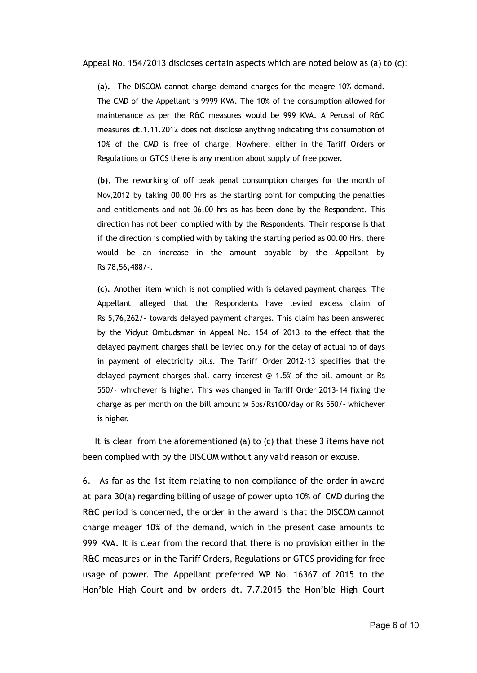Appeal No. 154/2013 discloses certain aspects which are noted below as (a) to (c):

(a). The DISCOM cannot charge demand charges for the meagre 10% demand. The CMD of the Appellant is 9999 KVA. The 10% of the consumption allowed for maintenance as per the R&C measures would be 999 KVA. A Perusal of R&C measures dt.1.11.2012 does not disclose anything indicating this consumption of 10% of the CMD is free of charge. Nowhere, either in the Tariff Orders or Regulations or GTCS there is any mention about supply of free power.

(b). The reworking of off peak penal consumption charges for the month of Nov,2012 by taking 00.00 Hrs as the starting point for computing the penalties and entitlements and not 06.00 hrs as has been done by the Respondent. This direction has not been complied with by the Respondents. Their response is that if the direction is complied with by taking the starting period as 00.00 Hrs, there would be an increase in the amount payable by the Appellant by Rs 78,56,488/‐.

(c). Another item which is not complied with is delayed payment charges. The Appellant alleged that the Respondents have levied excess claim of Rs 5,76,262/‐ towards delayed payment charges. This claim has been answered by the Vidyut Ombudsman in Appeal No. 154 of 2013 to the effect that the delayed payment charges shall be levied only for the delay of actual no.of days in payment of electricity bills. The Tariff Order 2012‐13 specifies that the delayed payment charges shall carry interest @ 1.5% of the bill amount or Rs 550/‐ whichever is higher. This was changed in Tariff Order 2013‐14 fixing the charge as per month on the bill amount @ 5ps/Rs100/day or Rs 550/‐ whichever is higher.

It is clear from the aforementioned (a) to (c) that these 3 items have not been complied with by the DISCOM without any valid reason or excuse.

6. As far as the 1st item relating to non compliance of the order in award at para 30(a) regarding billing of usage of power upto 10% of CMD during the R&C period is concerned, the order in the award is that the DISCOM cannot charge meager 10% of the demand, which in the present case amounts to 999 KVA. It is clear from the record that there is no provision either in the R&C measures or in the Tariff Orders, Regulations or GTCS providing for free usage of power. The Appellant preferred WP No. 16367 of 2015 to the Hon'ble High Court and by orders dt. 7.7.2015 the Hon'ble High Court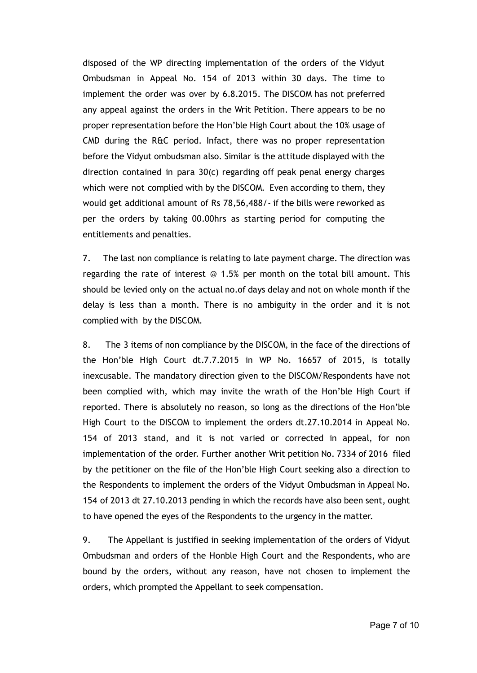disposed of the WP directing implementation of the orders of the Vidyut Ombudsman in Appeal No. 154 of 2013 within 30 days. The time to implement the order was over by 6.8.2015. The DISCOM has not preferred any appeal against the orders in the Writ Petition. There appears to be no proper representation before the Hon'ble High Court about the 10% usage of CMD during the R&C period. Infact, there was no proper representation before the Vidyut ombudsman also. Similar is the attitude displayed with the direction contained in para 30(c) regarding off peak penal energy charges which were not complied with by the DISCOM. Even according to them, they would get additional amount of Rs 78,56,488/‐ if the bills were reworked as per the orders by taking 00.00hrs as starting period for computing the entitlements and penalties.

7. The last non compliance is relating to late payment charge. The direction was regarding the rate of interest  $\odot$  1.5% per month on the total bill amount. This should be levied only on the actual no.of days delay and not on whole month if the delay is less than a month. There is no ambiguity in the order and it is not complied with by the DISCOM.

8. The 3 items of non compliance by the DISCOM, in the face of the directions of the Hon'ble High Court dt.7.7.2015 in WP No. 16657 of 2015, is totally inexcusable. The mandatory direction given to the DISCOM/Respondents have not been complied with, which may invite the wrath of the Hon'ble High Court if reported. There is absolutely no reason, so long as the directions of the Hon'ble High Court to the DISCOM to implement the orders dt.27.10.2014 in Appeal No. 154 of 2013 stand, and it is not varied or corrected in appeal, for non implementation of the order. Further another Writ petition No. 7334 of 2016 filed by the petitioner on the file of the Hon'ble High Court seeking also a direction to the Respondents to implement the orders of the Vidyut Ombudsman in Appeal No. 154 of 2013 dt 27.10.2013 pending in which the records have also been sent, ought to have opened the eyes of the Respondents to the urgency in the matter.

9. The Appellant is justified in seeking implementation of the orders of Vidyut Ombudsman and orders of the Honble High Court and the Respondents, who are bound by the orders, without any reason, have not chosen to implement the orders, which prompted the Appellant to seek compensation.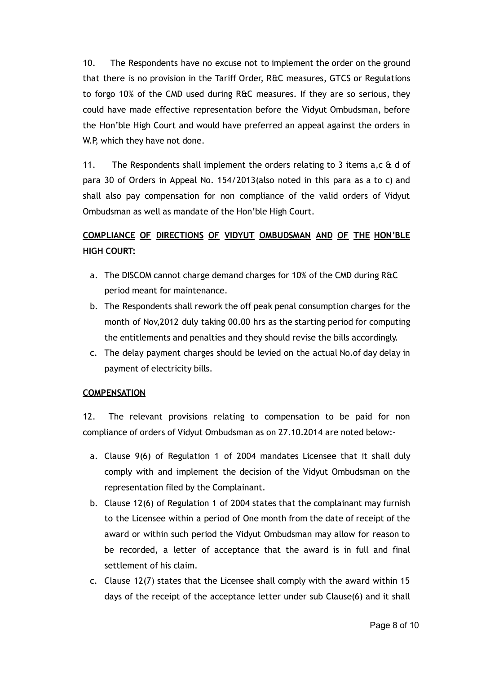10. The Respondents have no excuse not to implement the order on the ground that there is no provision in the Tariff Order, R&C measures, GTCS or Regulations to forgo 10% of the CMD used during R&C measures. If they are so serious, they could have made effective representation before the Vidyut Ombudsman, before the Hon'ble High Court and would have preferred an appeal against the orders in W.P, which they have not done.

11. The Respondents shall implement the orders relating to 3 items a,c & d of para 30 of Orders in Appeal No. 154/2013(also noted in this para as a to c) and shall also pay compensation for non compliance of the valid orders of Vidyut Ombudsman as well as mandate of the Hon'ble High Court.

# COMPLIANCE OF DIRECTIONS OF VIDYUT OMBUDSMAN AND OF THE HON'BLE HIGH COURT:

- a. The DISCOM cannot charge demand charges for 10% of the CMD during R&C period meant for maintenance.
- b. The Respondents shall rework the off peak penal consumption charges for the month of Nov,2012 duly taking 00.00 hrs as the starting period for computing the entitlements and penalties and they should revise the bills accordingly.
- c. The delay payment charges should be levied on the actual No.of day delay in payment of electricity bills.

## **COMPENSATION**

12. The relevant provisions relating to compensation to be paid for non compliance of orders of Vidyut Ombudsman as on 27.10.2014 are noted below:‐

- a. Clause 9(6) of Regulation 1 of 2004 mandates Licensee that it shall duly comply with and implement the decision of the Vidyut Ombudsman on the representation filed by the Complainant.
- b. Clause 12(6) of Regulation 1 of 2004 states that the complainant may furnish to the Licensee within a period of One month from the date of receipt of the award or within such period the Vidyut Ombudsman may allow for reason to be recorded, a letter of acceptance that the award is in full and final settlement of his claim.
- c. Clause 12(7) states that the Licensee shall comply with the award within 15 days of the receipt of the acceptance letter under sub Clause(6) and it shall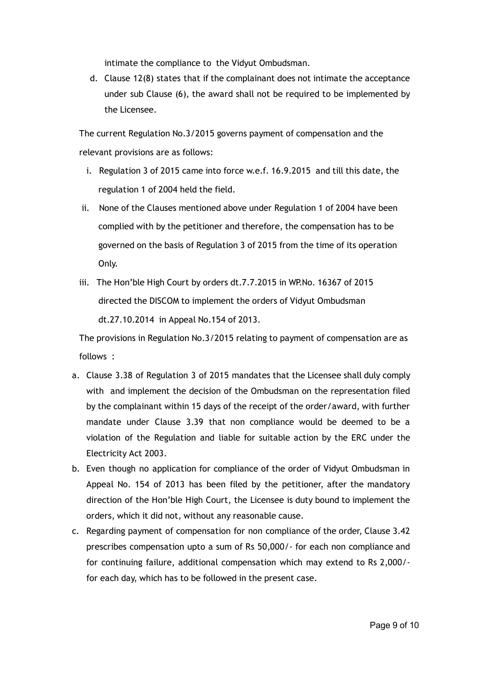intimate the compliance to the Vidyut Ombudsman.

d. Clause 12(8) states that if the complainant does not intimate the acceptance under sub Clause (6), the award shall not be required to be implemented by the Licensee.

The current Regulation No.3/2015 governs payment of compensation and the relevant provisions are as follows:

- i. Regulation 3 of 2015 came into force w.e.f. 16.9.2015 and till this date, the regulation 1 of 2004 held the field.
- ii. None of the Clauses mentioned above under Regulation 1 of 2004 have been complied with by the petitioner and therefore, the compensation has to be governed on the basis of Regulation 3 of 2015 from the time of its operation Only.
- iii. The Hon'ble High Court by orders dt.7.7.2015 in WP.No. 16367 of 2015 directed the DISCOM to implement the orders of Vidyut Ombudsman dt.27.10.2014 in Appeal No.154 of 2013.

The provisions in Regulation No.3/2015 relating to payment of compensation are as follows :

- a. Clause 3.38 of Regulation 3 of 2015 mandates that the Licensee shall duly comply with and implement the decision of the Ombudsman on the representation filed by the complainant within 15 days of the receipt of the order/award, with further mandate under Clause 3.39 that non compliance would be deemed to be a violation of the Regulation and liable for suitable action by the ERC under the Electricity Act 2003.
- b. Even though no application for compliance of the order of Vidyut Ombudsman in Appeal No. 154 of 2013 has been filed by the petitioner, after the mandatory direction of the Hon'ble High Court, the Licensee is duty bound to implement the orders, which it did not, without any reasonable cause.
- c. Regarding payment of compensation for non compliance of the order, Clause 3.42 prescribes compensation upto a sum of Rs 50,000/‐ for each non compliance and for continuing failure, additional compensation which may extend to Rs 2,000/‐ for each day, which has to be followed in the present case.